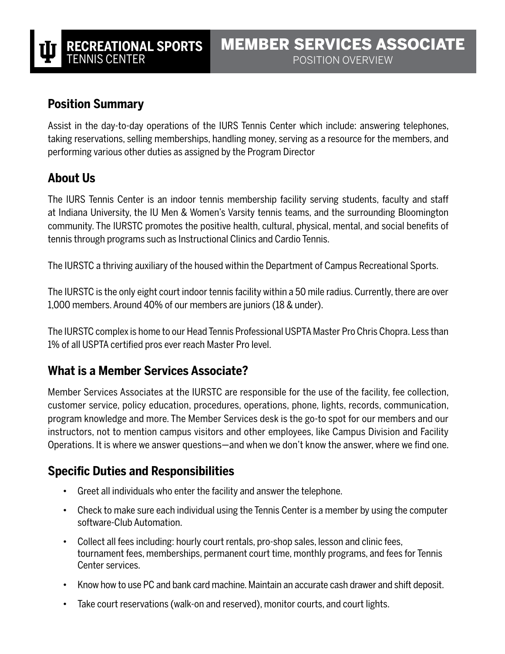## **Position Summary**

Assist in the day-to-day operations of the IURS Tennis Center which include: answering telephones, taking reservations, selling memberships, handling money, serving as a resource for the members, and performing various other duties as assigned by the Program Director

## **About Us**

The IURS Tennis Center is an indoor tennis membership facility serving students, faculty and staff at Indiana University, the IU Men & Women's Varsity tennis teams, and the surrounding Bloomington community. The IURSTC promotes the positive health, cultural, physical, mental, and social benefits of tennis through programs such as Instructional Clinics and Cardio Tennis.

The IURSTC a thriving auxiliary of the housed within the Department of Campus Recreational Sports.

The IURSTC is the only eight court indoor tennis facility within a 50 mile radius. Currently, there are over 1,000 members. Around 40% of our members are juniors (18 & under).

The IURSTC complex is home to our Head Tennis Professional USPTA Master Pro Chris Chopra. Less than 1% of all USPTA certified pros ever reach Master Pro level.

## **What is a Member Services Associate?**

Member Services Associates at the IURSTC are responsible for the use of the facility, fee collection, customer service, policy education, procedures, operations, phone, lights, records, communication, program knowledge and more. The Member Services desk is the go-to spot for our members and our instructors, not to mention campus visitors and other employees, like Campus Division and Facility Operations. It is where we answer questions—and when we don't know the answer, where we find one.

## **Specific Duties and Responsibilities**

- Greet all individuals who enter the facility and answer the telephone.
- Check to make sure each individual using the Tennis Center is a member by using the computer software-Club Automation.
- Collect all fees including: hourly court rentals, pro-shop sales, lesson and clinic fees, tournament fees, memberships, permanent court time, monthly programs, and fees for Tennis Center services.
- Know how to use PC and bank card machine. Maintain an accurate cash drawer and shift deposit.
- Take court reservations (walk-on and reserved), monitor courts, and court lights.